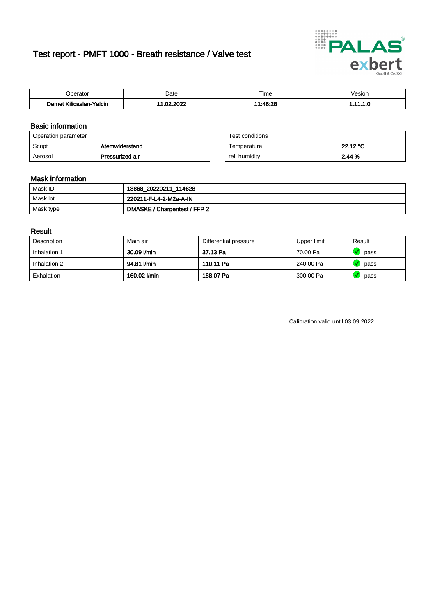# Test report - PMFT 1000 - Breath resistance / Valve test



| Joerator                   | Date                            | $- \cdot$<br>Гіmе | esion/ |
|----------------------------|---------------------------------|-------------------|--------|
| .<br>Yalcin<br>∧ilicaslan- | 000 <sup>o</sup><br>$\sim$<br>w | 1.10.00           | .      |

### Basic information

| Operation parameter |                 | Test conditions |          |
|---------------------|-----------------|-----------------|----------|
| Script              | Atemwiderstand  | Temperature     | 22.12 °C |
| Aerosol             | Pressurized air | rel. humiditv   | 2.44 %   |

| Test conditions |          |
|-----------------|----------|
| Temperature     | 22.12 °C |
| rel. humidity   | 2.44%    |

#### Mask information

| Mask ID   | 13868_20220211_114628        |
|-----------|------------------------------|
| Mask lot  | 220211-F-L4-2-M2a-A-IN       |
| Mask type | DMASKE / Chargentest / FFP 2 |

### Result

| Description  | Main air     | Differential pressure | Upper limit | Result |
|--------------|--------------|-----------------------|-------------|--------|
| Inhalation 1 | 30.09 l/min  | 37.13 Pa              | 70.00 Pa    | pass   |
| Inhalation 2 | 94.81 l/min  | 110.11 Pa             | 240.00 Pa   | pass   |
| Exhalation   | 160.02 l/min | 188.07 Pa             | 300.00 Pa   | pass   |

Calibration valid until 03.09.2022